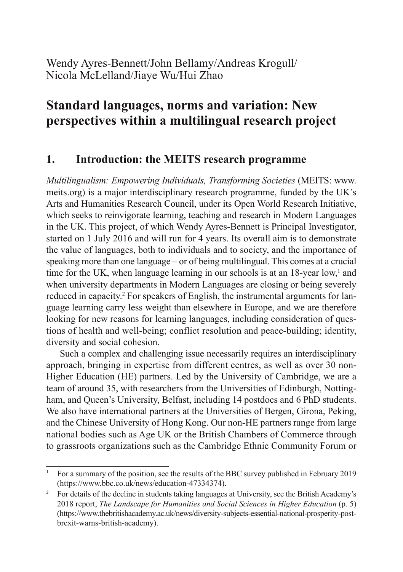Wendy Ayres-Bennett/John Bellamy/Andreas Krogull/ Nicola McLelland/Jiaye Wu/Hui Zhao

# **Standard languages, norms and variation: New perspectives within a multilingual research project**

### **1. Introduction: the MEITS research programme**

*Multilingualism: Empowering Individuals, Transforming Societies* (MEITS: www. meits.org) is a major interdisciplinary research programme, funded by the UK's Arts and Humanities Research Council, under its Open World Research Initiative, which seeks to reinvigorate learning, teaching and research in Modern Languages in the UK. This project, of which Wendy Ayres-Bennett is Principal Investigator, started on 1 July 2016 and will run for 4 years. Its overall aim is to demonstrate the value of languages, both to individuals and to society, and the importance of speaking more than one language – or of being multilingual. This comes at a crucial time for the UK, when language learning in our schools is at an  $18$ -year low,<sup>1</sup> and when university departments in Modern Languages are closing or being severely reduced in capacity.<sup>2</sup> For speakers of English, the instrumental arguments for language learning carry less weight than elsewhere in Europe, and we are therefore looking for new reasons for learning languages, including consideration of questions of health and well-being; conflict resolution and peace-building; identity, diversity and social cohesion.

Such a complex and challenging issue necessarily requires an interdisciplinary approach, bringing in expertise from different centres, as well as over 30 non-Higher Education (HE) partners. Led by the University of Cambridge, we are a team of around 35, with researchers from the Universities of Edinburgh, Nottingham, and Queen's University, Belfast, including 14 postdocs and 6 PhD students. We also have international partners at the Universities of Bergen, Girona, Peking, and the Chinese University of Hong Kong. Our non-HE partners range from large national bodies such as Age UK or the British Chambers of Commerce through to grassroots organizations such as the Cambridge Ethnic Community Forum or

<sup>1</sup> For a summary of the position, see the results of the BBC survey published in February 2019 (https://www.bbc.co.uk/news/education-47334374).

<sup>&</sup>lt;sup>2</sup> For details of the decline in students taking languages at University, see the British Academy's 2018 report, *The Landscape for Humanities and Social Sciences in Higher Education* (p. 5) (https://www.thebritishacademy.ac.uk/news/diversity-subjects-essential-national-prosperity-postbrexit-warns-british-academy).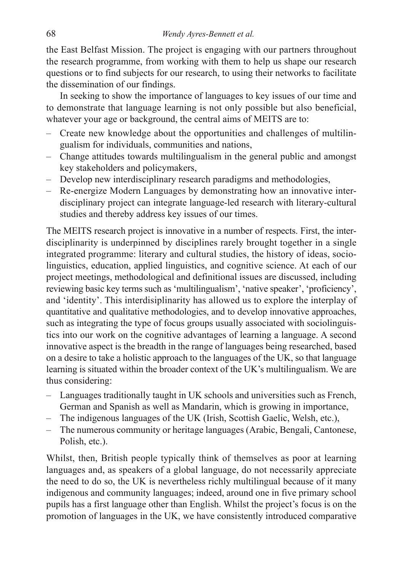the East Belfast Mission. The project is engaging with our partners throughout the research programme, from working with them to help us shape our research questions or to find subjects for our research, to using their networks to facilitate the dissemination of our findings.

In seeking to show the importance of languages to key issues of our time and to demonstrate that language learning is not only possible but also beneficial, whatever your age or background, the central aims of MEITS are to:

- Create new knowledge about the opportunities and challenges of multilingualism for individuals, communities and nations,
- Change attitudes towards multilingualism in the general public and amongst key stakeholders and policymakers,
- Develop new interdisciplinary research paradigms and methodologies,
- Re-energize Modern Languages by demonstrating how an innovative interdisciplinary project can integrate language-led research with literary-cultural studies and thereby address key issues of our times.

The MEITS research project is innovative in a number of respects. First, the interdisciplinarity is underpinned by disciplines rarely brought together in a single integrated programme: literary and cultural studies, the history of ideas, sociolinguistics, education, applied linguistics, and cognitive science. At each of our project meetings, methodological and definitional issues are discussed, including reviewing basic key terms such as 'multilingualism', 'native speaker', 'proficiency', and 'identity'. This interdisiplinarity has allowed us to explore the interplay of quantitative and qualitative methodologies, and to develop innovative approaches, such as integrating the type of focus groups usually associated with sociolinguistics into our work on the cognitive advantages of learning a language. A second innovative aspect is the breadth in the range of languages being researched, based on a desire to take a holistic approach to the languages of the UK, so that language learning is situated within the broader context of the UK's multilingualism. We are thus considering:

- Languages traditionally taught in UK schools and universities such as French, German and Spanish as well as Mandarin, which is growing in importance,
- The indigenous languages of the UK (Irish, Scottish Gaelic, Welsh, etc.),
- The numerous community or heritage languages (Arabic, Bengali, Cantonese, Polish, etc.).

Whilst, then, British people typically think of themselves as poor at learning languages and, as speakers of a global language, do not necessarily appreciate the need to do so, the UK is nevertheless richly multilingual because of it many indigenous and community languages; indeed, around one in five primary school pupils has a first language other than English. Whilst the project's focus is on the promotion of languages in the UK, we have consistently introduced comparative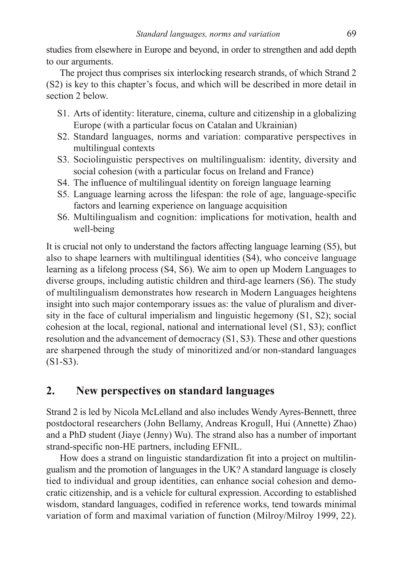studies from elsewhere in Europe and beyond, in order to strengthen and add depth to our arguments.

The project thus comprises six interlocking research strands, of which Strand 2 (S2) is key to this chapter's focus, and which will be described in more detail in section 2 below.

- S1. Arts of identity: literature, cinema, culture and citizenship in a globalizing Europe (with a particular focus on Catalan and Ukrainian)
- S2. Standard languages, norms and variation: comparative perspectives in multilingual contexts
- S3. Sociolinguistic perspectives on multilingualism: identity, diversity and social cohesion (with a particular focus on Ireland and France)
- S4. The influence of multilingual identity on foreign language learning
- S5. Language learning across the lifespan: the role of age, language-specific factors and learning experience on language acquisition
- S6. Multilingualism and cognition: implications for motivation, health and well-being

It is crucial not only to understand the factors affecting language learning (S5), but also to shape learners with multilingual identities (S4), who conceive language learning as a lifelong process (S4, S6). We aim to open up Modern Languages to diverse groups, including autistic children and third-age learners (S6). The study of multilingualism demonstrates how research in Modern Languages heightens insight into such major contemporary issues as: the value of pluralism and diversity in the face of cultural imperialism and linguistic hegemony (S1, S2); social cohesion at the local, regional, national and international level (S1, S3); conflict resolution and the advancement of democracy (S1, S3). These and other questions are sharpened through the study of minoritized and/or non-standard languages (S1-S3).

### **2. New perspectives on standard languages**

Strand 2 is led by Nicola McLelland and also includes Wendy Ayres-Bennett, three postdoctoral researchers (John Bellamy, Andreas Krogull, Hui (Annette) Zhao) and a PhD student (Jiaye (Jenny) Wu). The strand also has a number of important strand-specific non-HE partners, including EFNIL.

How does a strand on linguistic standardization fit into a project on multilingualism and the promotion of languages in the UK? A standard language is closely tied to individual and group identities, can enhance social cohesion and democratic citizenship, and is a vehicle for cultural expression. According to established wisdom, standard languages, codified in reference works, tend towards minimal variation of form and maximal variation of function (Milroy/Milroy 1999, 22).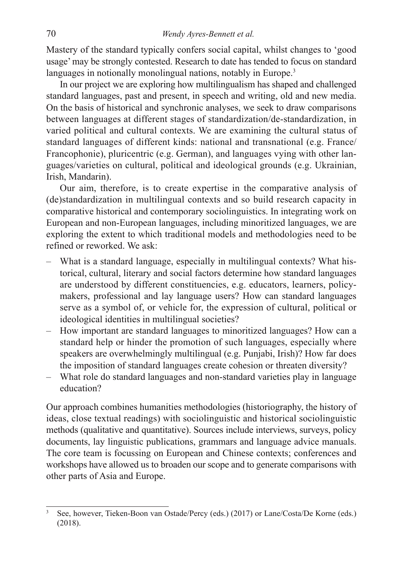Mastery of the standard typically confers social capital, whilst changes to 'good usage' may be strongly contested. Research to date has tended to focus on standard languages in notionally monolingual nations, notably in Europe.<sup>3</sup>

In our project we are exploring how multilingualism has shaped and challenged standard languages, past and present, in speech and writing, old and new media. On the basis of historical and synchronic analyses, we seek to draw comparisons between languages at different stages of standardization/de-standardization, in varied political and cultural contexts. We are examining the cultural status of standard languages of different kinds: national and transnational (e.g. France/ Francophonie), pluricentric (e.g. German), and languages vying with other languages/varieties on cultural, political and ideological grounds (e.g. Ukrainian, Irish, Mandarin).

Our aim, therefore, is to create expertise in the comparative analysis of (de)standardization in multilingual contexts and so build research capacity in comparative historical and contemporary sociolinguistics. In integrating work on European and non-European languages, including minoritized languages, we are exploring the extent to which traditional models and methodologies need to be refined or reworked. We ask:

- What is a standard language, especially in multilingual contexts? What historical, cultural, literary and social factors determine how standard languages are understood by different constituencies, e.g. educators, learners, policymakers, professional and lay language users? How can standard languages serve as a symbol of, or vehicle for, the expression of cultural, political or ideological identities in multilingual societies?
- How important are standard languages to minoritized languages? How can a standard help or hinder the promotion of such languages, especially where speakers are overwhelmingly multilingual (e.g. Punjabi, Irish)? How far does the imposition of standard languages create cohesion or threaten diversity?
- What role do standard languages and non-standard varieties play in language education?

Our approach combines humanities methodologies (historiography, the history of ideas, close textual readings) with sociolinguistic and historical sociolinguistic methods (qualitative and quantitative). Sources include interviews, surveys, policy documents, lay linguistic publications, grammars and language advice manuals. The core team is focussing on European and Chinese contexts; conferences and workshops have allowed us to broaden our scope and to generate comparisons with other parts of Asia and Europe.

<sup>3</sup> See, however, Tieken-Boon van Ostade/Percy (eds.) (2017) or Lane/Costa/De Korne (eds.) (2018).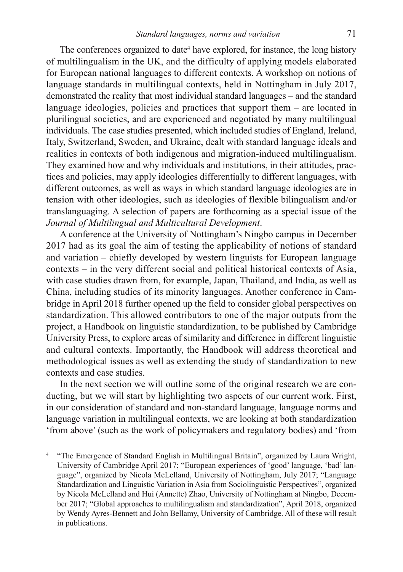The conferences organized to date<sup>4</sup> have explored, for instance, the long history of multilingualism in the UK, and the difficulty of applying models elaborated for European national languages to different contexts. A workshop on notions of language standards in multilingual contexts, held in Nottingham in July 2017, demonstrated the reality that most individual standard languages – and the standard language ideologies, policies and practices that support them – are located in plurilingual societies, and are experienced and negotiated by many multilingual individuals. The case studies presented, which included studies of England, Ireland, Italy, Switzerland, Sweden, and Ukraine, dealt with standard language ideals and realities in contexts of both indigenous and migration-induced multilingualism. They examined how and why individuals and institutions, in their attitudes, practices and policies, may apply ideologies differentially to different languages, with different outcomes, as well as ways in which standard language ideologies are in tension with other ideologies, such as ideologies of flexible bilingualism and/or translanguaging. A selection of papers are forthcoming as a special issue of the *Journal of Multilingual and Multicultural Development*.

A conference at the University of Nottingham's Ningbo campus in December 2017 had as its goal the aim of testing the applicability of notions of standard and variation – chiefly developed by western linguists for European language contexts – in the very different social and political historical contexts of Asia, with case studies drawn from, for example, Japan, Thailand, and India, as well as China, including studies of its minority languages. Another conference in Cambridge in April 2018 further opened up the field to consider global perspectives on standardization. This allowed contributors to one of the major outputs from the project, a Handbook on linguistic standardization, to be published by Cambridge University Press, to explore areas of similarity and difference in different linguistic and cultural contexts. Importantly, the Handbook will address theoretical and methodological issues as well as extending the study of standardization to new contexts and case studies.

In the next section we will outline some of the original research we are conducting, but we will start by highlighting two aspects of our current work. First, in our consideration of standard and non-standard language, language norms and language variation in multilingual contexts, we are looking at both standardization 'from above' (such as the work of policymakers and regulatory bodies) and 'from

<sup>4</sup> "The Emergence of Standard English in Multilingual Britain", organized by Laura Wright, University of Cambridge April 2017; "European experiences of 'good' language, 'bad' language", organized by Nicola McLelland, University of Nottingham, July 2017; "Language Standardization and Linguistic Variation in Asia from Sociolinguistic Perspectives", organized by Nicola McLelland and Hui (Annette) Zhao, University of Nottingham at Ningbo, December 2017; "Global approaches to multilingualism and standardization", April 2018, organized by Wendy Ayres-Bennett and John Bellamy, University of Cambridge. All of these will result in publications.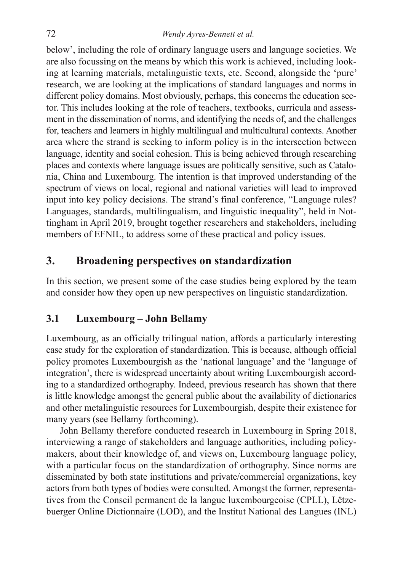below', including the role of ordinary language users and language societies. We are also focussing on the means by which this work is achieved, including looking at learning materials, metalinguistic texts, etc. Second, alongside the 'pure' research, we are looking at the implications of standard languages and norms in different policy domains. Most obviously, perhaps, this concerns the education sector. This includes looking at the role of teachers, textbooks, curricula and assessment in the dissemination of norms, and identifying the needs of, and the challenges for, teachers and learners in highly multilingual and multicultural contexts. Another area where the strand is seeking to inform policy is in the intersection between language, identity and social cohesion. This is being achieved through researching places and contexts where language issues are politically sensitive, such as Catalonia, China and Luxembourg. The intention is that improved understanding of the spectrum of views on local, regional and national varieties will lead to improved input into key policy decisions. The strand's final conference, "Language rules? Languages, standards, multilingualism, and linguistic inequality", held in Nottingham in April 2019, brought together researchers and stakeholders, including members of EFNIL, to address some of these practical and policy issues.

### **3. Broadening perspectives on standardization**

In this section, we present some of the case studies being explored by the team and consider how they open up new perspectives on linguistic standardization.

### **3.1 Luxembourg – John Bellamy**

Luxembourg, as an officially trilingual nation, affords a particularly interesting case study for the exploration of standardization. This is because, although official policy promotes Luxembourgish as the 'national language' and the 'language of integration', there is widespread uncertainty about writing Luxembourgish according to a standardized orthography. Indeed, previous research has shown that there is little knowledge amongst the general public about the availability of dictionaries and other metalinguistic resources for Luxembourgish, despite their existence for many years (see Bellamy forthcoming).

John Bellamy therefore conducted research in Luxembourg in Spring 2018, interviewing a range of stakeholders and language authorities, including policymakers, about their knowledge of, and views on, Luxembourg language policy, with a particular focus on the standardization of orthography. Since norms are disseminated by both state institutions and private/commercial organizations, key actors from both types of bodies were consulted. Amongst the former, representatives from the Conseil permanent de la langue luxembourgeoise (CPLL), Lëtzebuerger Online Dictionnaire (LOD), and the Institut National des Langues (INL)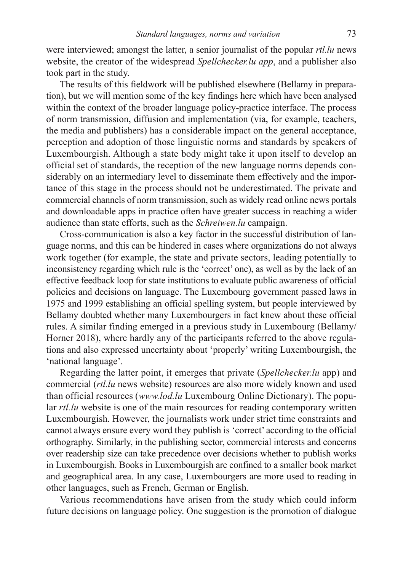were interviewed; amongst the latter, a senior journalist of the popular *rtl.lu* news website, the creator of the widespread *Spellchecker.lu app*, and a publisher also took part in the study.

The results of this fieldwork will be published elsewhere (Bellamy in preparation), but we will mention some of the key findings here which have been analysed within the context of the broader language policy-practice interface. The process of norm transmission, diffusion and implementation (via, for example, teachers, the media and publishers) has a considerable impact on the general acceptance, perception and adoption of those linguistic norms and standards by speakers of Luxembourgish. Although a state body might take it upon itself to develop an official set of standards, the reception of the new language norms depends considerably on an intermediary level to disseminate them effectively and the importance of this stage in the process should not be underestimated. The private and commercial channels of norm transmission, such as widely read online news portals and downloadable apps in practice often have greater success in reaching a wider audience than state efforts, such as the *Schreiwen.lu* campaign.

Cross-communication is also a key factor in the successful distribution of language norms, and this can be hindered in cases where organizations do not always work together (for example, the state and private sectors, leading potentially to inconsistency regarding which rule is the 'correct' one), as well as by the lack of an effective feedback loop for state institutions to evaluate public awareness of official policies and decisions on language. The Luxembourg government passed laws in 1975 and 1999 establishing an official spelling system, but people interviewed by Bellamy doubted whether many Luxembourgers in fact knew about these official rules. A similar finding emerged in a previous study in Luxembourg (Bellamy/ Horner 2018), where hardly any of the participants referred to the above regulations and also expressed uncertainty about 'properly' writing Luxembourgish, the 'national language'.

Regarding the latter point, it emerges that private (*Spellchecker.lu* app) and commercial (*rtl.lu* news website) resources are also more widely known and used than official resources (*www.lod.lu* Luxembourg Online Dictionary). The popular *rtl.lu* website is one of the main resources for reading contemporary written Luxembourgish. However, the journalists work under strict time constraints and cannot always ensure every word they publish is 'correct' according to the official orthography. Similarly, in the publishing sector, commercial interests and concerns over readership size can take precedence over decisions whether to publish works in Luxembourgish. Books in Luxembourgish are confined to a smaller book market and geographical area. In any case, Luxembourgers are more used to reading in other languages, such as French, German or English.

Various recommendations have arisen from the study which could inform future decisions on language policy. One suggestion is the promotion of dialogue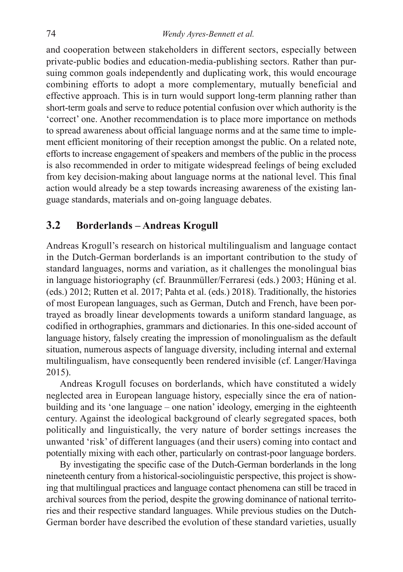and cooperation between stakeholders in different sectors, especially between private-public bodies and education-media-publishing sectors. Rather than pursuing common goals independently and duplicating work, this would encourage combining efforts to adopt a more complementary, mutually beneficial and effective approach. This is in turn would support long-term planning rather than short-term goals and serve to reduce potential confusion over which authority is the 'correct' one. Another recommendation is to place more importance on methods to spread awareness about official language norms and at the same time to implement efficient monitoring of their reception amongst the public. On a related note, efforts to increase engagement of speakers and members of the public in the process is also recommended in order to mitigate widespread feelings of being excluded from key decision-making about language norms at the national level. This final action would already be a step towards increasing awareness of the existing language standards, materials and on-going language debates.

#### **3.2 Borderlands – Andreas Krogull**

Andreas Krogull's research on historical multilingualism and language contact in the Dutch-German borderlands is an important contribution to the study of standard languages, norms and variation, as it challenges the monolingual bias in language historiography (cf. Braunmüller/Ferraresi (eds.) 2003; Hüning et al. (eds.) 2012; Rutten et al. 2017; Pahta et al. (eds.) 2018). Traditionally, the histories of most European languages, such as German, Dutch and French, have been portrayed as broadly linear developments towards a uniform standard language, as codified in orthographies, grammars and dictionaries. In this one-sided account of language history, falsely creating the impression of monolingualism as the default situation, numerous aspects of language diversity, including internal and external multilingualism, have consequently been rendered invisible (cf. Langer/Havinga 2015).

Andreas Krogull focuses on borderlands, which have constituted a widely neglected area in European language history, especially since the era of nationbuilding and its 'one language – one nation' ideology, emerging in the eighteenth century. Against the ideological background of clearly segregated spaces, both politically and linguistically, the very nature of border settings increases the unwanted 'risk' of different languages (and their users) coming into contact and potentially mixing with each other, particularly on contrast-poor language borders.

By investigating the specific case of the Dutch-German borderlands in the long nineteenth century from a historical-sociolinguistic perspective, this project is showing that multilingual practices and language contact phenomena can still be traced in archival sources from the period, despite the growing dominance of national territories and their respective standard languages. While previous studies on the Dutch-German border have described the evolution of these standard varieties, usually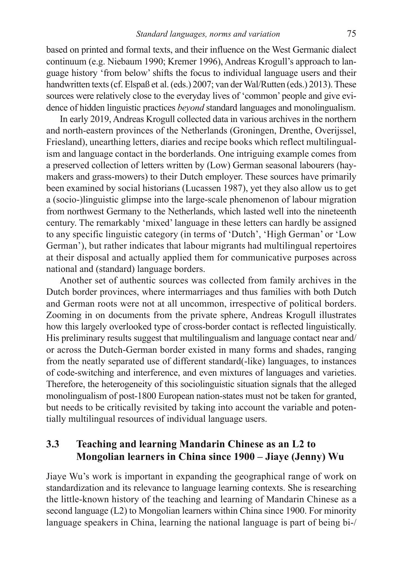based on printed and formal texts, and their influence on the West Germanic dialect continuum (e.g. Niebaum 1990; Kremer 1996), Andreas Krogull's approach to language history 'from below' shifts the focus to individual language users and their handwritten texts (cf. Elspaß et al. (eds.) 2007; van der Wal/Rutten (eds.) 2013). These sources were relatively close to the everyday lives of 'common' people and give evidence of hidden linguistic practices *beyond* standard languages and monolingualism.

In early 2019, Andreas Krogull collected data in various archives in the northern and north-eastern provinces of the Netherlands (Groningen, Drenthe, Overijssel, Friesland), unearthing letters, diaries and recipe books which reflect multilingualism and language contact in the borderlands. One intriguing example comes from a preserved collection of letters written by (Low) German seasonal labourers (haymakers and grass-mowers) to their Dutch employer. These sources have primarily been examined by social historians (Lucassen 1987), yet they also allow us to get a (socio-)linguistic glimpse into the large-scale phenomenon of labour migration from northwest Germany to the Netherlands, which lasted well into the nineteenth century. The remarkably 'mixed' language in these letters can hardly be assigned to any specific linguistic category (in terms of 'Dutch', 'High German' or 'Low German'), but rather indicates that labour migrants had multilingual repertoires at their disposal and actually applied them for communicative purposes across national and (standard) language borders.

Another set of authentic sources was collected from family archives in the Dutch border provinces, where intermarriages and thus families with both Dutch and German roots were not at all uncommon, irrespective of political borders. Zooming in on documents from the private sphere, Andreas Krogull illustrates how this largely overlooked type of cross-border contact is reflected linguistically. His preliminary results suggest that multilingualism and language contact near and/ or across the Dutch-German border existed in many forms and shades, ranging from the neatly separated use of different standard(-like) languages, to instances of code-switching and interference, and even mixtures of languages and varieties. Therefore, the heterogeneity of this sociolinguistic situation signals that the alleged monolingualism of post-1800 European nation-states must not be taken for granted, but needs to be critically revisited by taking into account the variable and potentially multilingual resources of individual language users.

#### **3.3 Teaching and learning Mandarin Chinese as an L2 to Mongolian learners in China since 1900 – Jiaye (Jenny) Wu**

Jiaye Wu's work is important in expanding the geographical range of work on standardization and its relevance to language learning contexts. She is researching the little-known history of the teaching and learning of Mandarin Chinese as a second language (L2) to Mongolian learners within China since 1900. For minority language speakers in China, learning the national language is part of being bi-/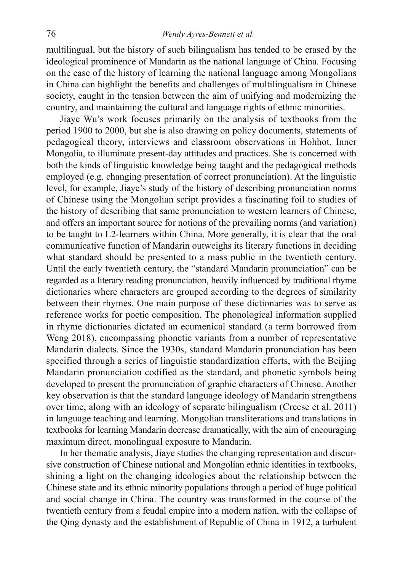multilingual, but the history of such bilingualism has tended to be erased by the ideological prominence of Mandarin as the national language of China. Focusing on the case of the history of learning the national language among Mongolians in China can highlight the benefits and challenges of multilingualism in Chinese society, caught in the tension between the aim of unifying and modernizing the country, and maintaining the cultural and language rights of ethnic minorities.

Jiaye Wu's work focuses primarily on the analysis of textbooks from the period 1900 to 2000, but she is also drawing on policy documents, statements of pedagogical theory, interviews and classroom observations in Hohhot, Inner Mongolia, to illuminate present-day attitudes and practices. She is concerned with both the kinds of linguistic knowledge being taught and the pedagogical methods employed (e.g. changing presentation of correct pronunciation). At the linguistic level, for example, Jiaye's study of the history of describing pronunciation norms of Chinese using the Mongolian script provides a fascinating foil to studies of the history of describing that same pronunciation to western learners of Chinese, and offers an important source for notions of the prevailing norms (and variation) to be taught to L2-learners within China. More generally, it is clear that the oral communicative function of Mandarin outweighs its literary functions in deciding what standard should be presented to a mass public in the twentieth century. Until the early twentieth century, the "standard Mandarin pronunciation" can be regarded as a literary reading pronunciation, heavily influenced by traditional rhyme dictionaries where characters are grouped according to the degrees of similarity between their rhymes. One main purpose of these dictionaries was to serve as reference works for poetic composition. The phonological information supplied in rhyme dictionaries dictated an ecumenical standard (a term borrowed from Weng 2018), encompassing phonetic variants from a number of representative Mandarin dialects. Since the 1930s, standard Mandarin pronunciation has been specified through a series of linguistic standardization efforts, with the Beijing Mandarin pronunciation codified as the standard, and phonetic symbols being developed to present the pronunciation of graphic characters of Chinese. Another key observation is that the standard language ideology of Mandarin strengthens over time, along with an ideology of separate bilingualism (Creese et al. 2011) in language teaching and learning. Mongolian transliterations and translations in textbooks for learning Mandarin decrease dramatically, with the aim of encouraging maximum direct, monolingual exposure to Mandarin.

In her thematic analysis, Jiaye studies the changing representation and discursive construction of Chinese national and Mongolian ethnic identities in textbooks, shining a light on the changing ideologies about the relationship between the Chinese state and its ethnic minority populations through a period of huge political and social change in China. The country was transformed in the course of the twentieth century from a feudal empire into a modern nation, with the collapse of the Qing dynasty and the establishment of Republic of China in 1912, a turbulent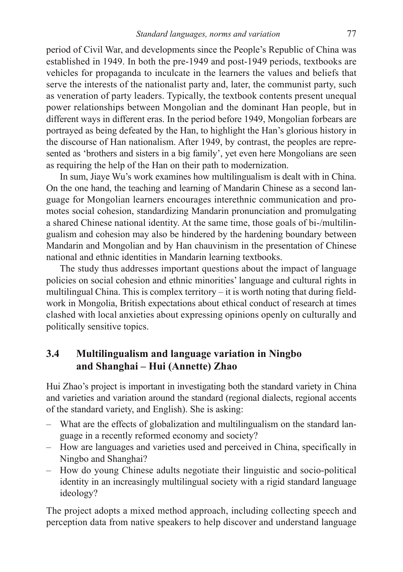period of Civil War, and developments since the People's Republic of China was established in 1949. In both the pre-1949 and post-1949 periods, textbooks are vehicles for propaganda to inculcate in the learners the values and beliefs that serve the interests of the nationalist party and, later, the communist party, such as veneration of party leaders. Typically, the textbook contents present unequal power relationships between Mongolian and the dominant Han people, but in different ways in different eras. In the period before 1949, Mongolian forbears are portrayed as being defeated by the Han, to highlight the Han's glorious history in the discourse of Han nationalism. After 1949, by contrast, the peoples are represented as 'brothers and sisters in a big family', yet even here Mongolians are seen as requiring the help of the Han on their path to modernization.

In sum, Jiaye Wu's work examines how multilingualism is dealt with in China. On the one hand, the teaching and learning of Mandarin Chinese as a second language for Mongolian learners encourages interethnic communication and promotes social cohesion, standardizing Mandarin pronunciation and promulgating a shared Chinese national identity. At the same time, those goals of bi-/multilingualism and cohesion may also be hindered by the hardening boundary between Mandarin and Mongolian and by Han chauvinism in the presentation of Chinese national and ethnic identities in Mandarin learning textbooks.

The study thus addresses important questions about the impact of language policies on social cohesion and ethnic minorities' language and cultural rights in multilingual China. This is complex territory – it is worth noting that during fieldwork in Mongolia, British expectations about ethical conduct of research at times clashed with local anxieties about expressing opinions openly on culturally and politically sensitive topics.

#### **3.4 Multilingualism and language variation in Ningbo and Shanghai – Hui (Annette) Zhao**

Hui Zhao's project is important in investigating both the standard variety in China and varieties and variation around the standard (regional dialects, regional accents of the standard variety, and English). She is asking:

- What are the effects of globalization and multilingualism on the standard language in a recently reformed economy and society?
- How are languages and varieties used and perceived in China, specifically in Ningbo and Shanghai?
- How do young Chinese adults negotiate their linguistic and socio-political identity in an increasingly multilingual society with a rigid standard language ideology?

The project adopts a mixed method approach, including collecting speech and perception data from native speakers to help discover and understand language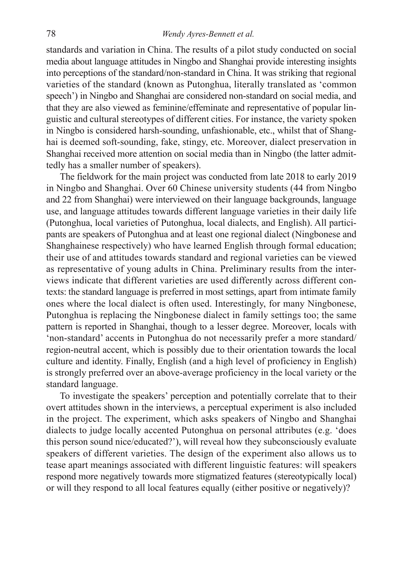standards and variation in China. The results of a pilot study conducted on social media about language attitudes in Ningbo and Shanghai provide interesting insights into perceptions of the standard/non-standard in China. It was striking that regional varieties of the standard (known as Putonghua, literally translated as 'common speech') in Ningbo and Shanghai are considered non-standard on social media, and that they are also viewed as feminine/effeminate and representative of popular linguistic and cultural stereotypes of different cities. For instance, the variety spoken in Ningbo is considered harsh-sounding, unfashionable, etc., whilst that of Shanghai is deemed soft-sounding, fake, stingy, etc. Moreover, dialect preservation in Shanghai received more attention on social media than in Ningbo (the latter admittedly has a smaller number of speakers).

The fieldwork for the main project was conducted from late 2018 to early 2019 in Ningbo and Shanghai. Over 60 Chinese university students (44 from Ningbo and 22 from Shanghai) were interviewed on their language backgrounds, language use, and language attitudes towards different language varieties in their daily life (Putonghua, local varieties of Putonghua, local dialects, and English). All participants are speakers of Putonghua and at least one regional dialect (Ningbonese and Shanghainese respectively) who have learned English through formal education; their use of and attitudes towards standard and regional varieties can be viewed as representative of young adults in China. Preliminary results from the interviews indicate that different varieties are used differently across different contexts: the standard language is preferred in most settings, apart from intimate family ones where the local dialect is often used. Interestingly, for many Ningbonese, Putonghua is replacing the Ningbonese dialect in family settings too; the same pattern is reported in Shanghai, though to a lesser degree. Moreover, locals with 'non-standard' accents in Putonghua do not necessarily prefer a more standard/ region-neutral accent, which is possibly due to their orientation towards the local culture and identity. Finally, English (and a high level of proficiency in English) is strongly preferred over an above-average proficiency in the local variety or the standard language.

To investigate the speakers' perception and potentially correlate that to their overt attitudes shown in the interviews, a perceptual experiment is also included in the project. The experiment, which asks speakers of Ningbo and Shanghai dialects to judge locally accented Putonghua on personal attributes (e.g. 'does this person sound nice/educated?'), will reveal how they subconsciously evaluate speakers of different varieties. The design of the experiment also allows us to tease apart meanings associated with different linguistic features: will speakers respond more negatively towards more stigmatized features (stereotypically local) or will they respond to all local features equally (either positive or negatively)?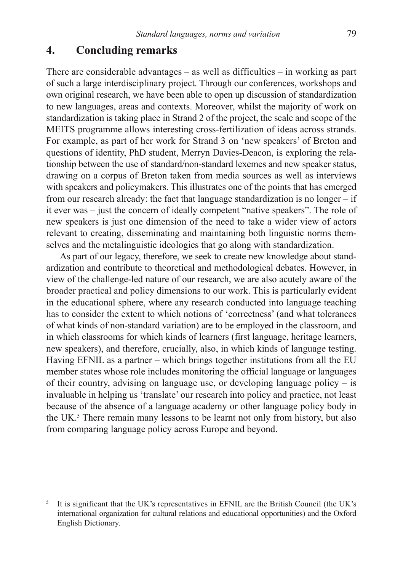#### **4. Concluding remarks**

There are considerable advantages – as well as difficulties – in working as part of such a large interdisciplinary project. Through our conferences, workshops and own original research, we have been able to open up discussion of standardization to new languages, areas and contexts. Moreover, whilst the majority of work on standardization is taking place in Strand 2 of the project, the scale and scope of the MEITS programme allows interesting cross-fertilization of ideas across strands. For example, as part of her work for Strand 3 on 'new speakers' of Breton and questions of identity, PhD student, Merryn Davies-Deacon, is exploring the relationship between the use of standard/non-standard lexemes and new speaker status, drawing on a corpus of Breton taken from media sources as well as interviews with speakers and policymakers. This illustrates one of the points that has emerged from our research already: the fact that language standardization is no longer – if it ever was – just the concern of ideally competent "native speakers". The role of new speakers is just one dimension of the need to take a wider view of actors relevant to creating, disseminating and maintaining both linguistic norms themselves and the metalinguistic ideologies that go along with standardization.

As part of our legacy, therefore, we seek to create new knowledge about standardization and contribute to theoretical and methodological debates. However, in view of the challenge-led nature of our research, we are also acutely aware of the broader practical and policy dimensions to our work. This is particularly evident in the educational sphere, where any research conducted into language teaching has to consider the extent to which notions of 'correctness' (and what tolerances of what kinds of non-standard variation) are to be employed in the classroom, and in which classrooms for which kinds of learners (first language, heritage learners, new speakers), and therefore, crucially, also, in which kinds of language testing. Having EFNIL as a partner – which brings together institutions from all the EU member states whose role includes monitoring the official language or languages of their country, advising on language use, or developing language policy – is invaluable in helping us 'translate' our research into policy and practice, not least because of the absence of a language academy or other language policy body in the UK.<sup>5</sup> There remain many lessons to be learnt not only from history, but also from comparing language policy across Europe and beyond.

<sup>5</sup> It is significant that the UK's representatives in EFNIL are the British Council (the UK's international organization for cultural relations and educational opportunities) and the Oxford English Dictionary.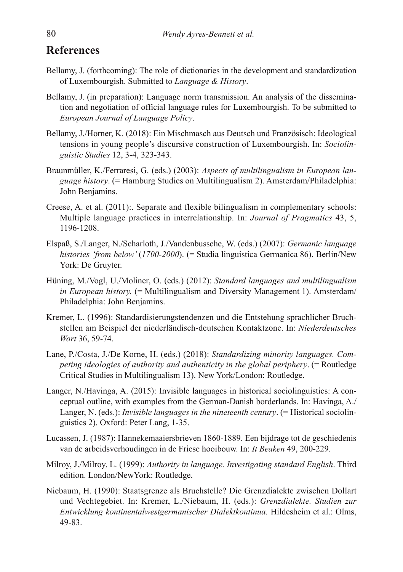## **References**

- Bellamy, J. (forthcoming): The role of dictionaries in the development and standardization of Luxembourgish. Submitted to *Language & History*.
- Bellamy, J. (in preparation): Language norm transmission. An analysis of the dissemination and negotiation of official language rules for Luxembourgish. To be submitted to *European Journal of Language Policy*.
- Bellamy, J./Horner, K. (2018): Ein Mischmasch aus Deutsch und Französisch: Ideological tensions in young people's discursive construction of Luxembourgish. In: *Sociolinguistic Studies* 12, 3-4, 323-343.
- Braunmüller, K./Ferraresi, G. (eds.) (2003): *Aspects of multilingualism in European language history*. (= Hamburg Studies on Multilingualism 2). Amsterdam/Philadelphia: John Benjamins.
- Creese, A. et al. (2011):. Separate and flexible bilingualism in complementary schools: Multiple language practices in interrelationship. In: *Journal of Pragmatics* 43, 5, 1196-1208.
- Elspaß, S./Langer, N./Scharloth, J./Vandenbussche, W. (eds.) (2007): *Germanic language histories 'from below'* (*1700-2000*). (= Studia linguistica Germanica 86). Berlin/New York: De Gruyter.
- Hüning, M./Vogl, U./Moliner, O. (eds.) (2012): *Standard languages and multilingualism in European history.* (= Multilingualism and Diversity Management 1). Amsterdam/ Philadelphia: John Benjamins.
- Kremer, L. (1996): Standardisierungstendenzen und die Entstehung sprachlicher Bruchstellen am Beispiel der niederländisch-deutschen Kontaktzone. In: *Niederdeutsches Wort* 36, 59-74.
- Lane, P./Costa, J./De Korne, H. (eds.) (2018): *Standardizing minority languages. Competing ideologies of authority and authenticity in the global periphery*. (= Routledge Critical Studies in Multilingualism 13). New York/London: Routledge.
- Langer, N./Havinga, A. (2015): Invisible languages in historical sociolinguistics: A conceptual outline, with examples from the German-Danish borderlands. In: Havinga, A./ Langer, N. (eds.): *Invisible languages in the nineteenth century*. (= Historical sociolinguistics 2). Oxford: Peter Lang, 1-35.
- Lucassen, J. (1987): Hannekemaaiersbrieven 1860-1889. Een bijdrage tot de geschiedenis van de arbeidsverhoudingen in de Friese hooibouw. In: *It Beaken* 49, 200-229.
- Milroy, J./Milroy, L. (1999): *Authority in language. Investigating standard English*. Third edition. London/NewYork: Routledge.
- Niebaum, H. (1990): Staatsgrenze als Bruchstelle? Die Grenzdialekte zwischen Dollart und Vechtegebiet. In: Kremer, L./Niebaum, H. (eds.): *Grenzdialekte. Studien zur Entwicklung kontinentalwestgermanischer Dialektkontinua.* Hildesheim et al.: Olms, 49-83.